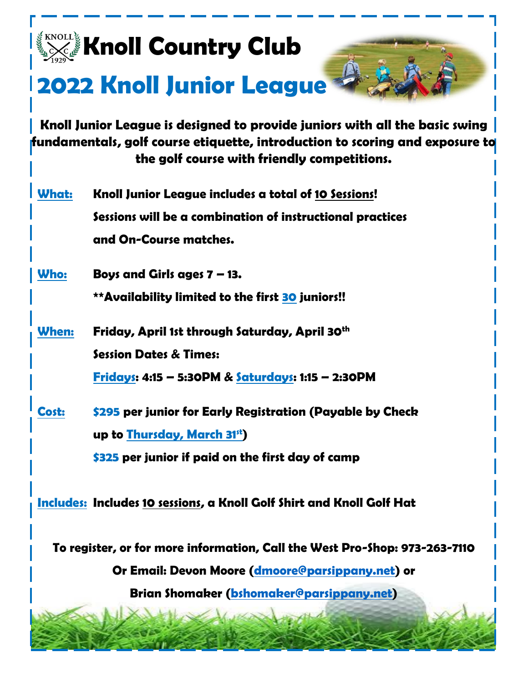

## **2022 Knoll Junior League**

**Knoll Junior League is designed to provide juniors with all the basic swing fundamentals, golf course etiquette, introduction to scoring and exposure to the golf course with friendly competitions.**

| What: | Knoll Junior League includes a total of 10 Sessions!      |
|-------|-----------------------------------------------------------|
|       | Sessions will be a combination of instructional practices |
|       | and On-Course matches.                                    |

 **Who: Boys and Girls ages 7 – 13.** 

**\*\*Availability limited to the first 30 juniors!!**

 **When: Friday, April 1st through Saturday, April 30th Session Dates & Times:**

**Fridays: 4:15 – 5:30PM & Saturdays: 1:15 – 2:30PM**

 **Cost: \$295 per junior for Early Registration (Payable by Check up to Thursday, March 31st) \$325 per junior if paid on the first day of camp**

 **Includes: Includes 10 sessions, a Knoll Golf Shirt and Knoll Golf Hat**

**To register, or for more information, Call the West Pro-Shop: 973-263-7110**

**Or Email: Devon Moore [\(dmoore@parsippany.net\)](mailto:dmoore@parsippany.net) or**

**Brian Shomaker [\(bshomaker@parsippany.net\)](mailto:bshomaker@parsippany.net)**